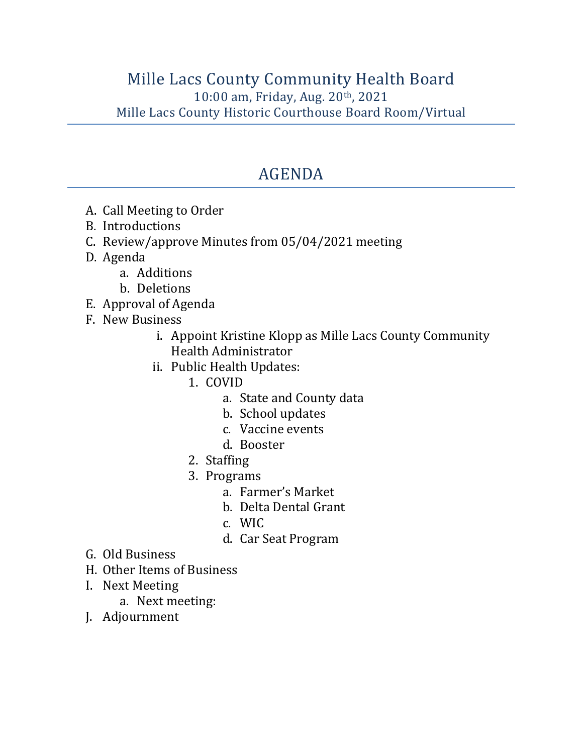## AGENDA

- A. Call Meeting to Order
- B. Introductions
- C. Review/approve Minutes from 05/04/2021 meeting
- D. Agenda
	- a. Additions
	- b. Deletions
- E. Approval of Agenda
- F. New Business
	- i. Appoint Kristine Klopp as Mille Lacs County Community Health Administrator
	- ii. Public Health Updates:
		- 1. COVID
			- a. State and County data
			- b. School updates
			- c. Vaccine events
			- d. Booster
		- 2. Staffing
		- 3. Programs
			- a. Farmer's Market
			- b. Delta Dental Grant
			- c. WIC
			- d. Car Seat Program
- G. Old Business
- H. Other Items of Business
- I. Next Meeting
	- a. Next meeting:
- J. Adjournment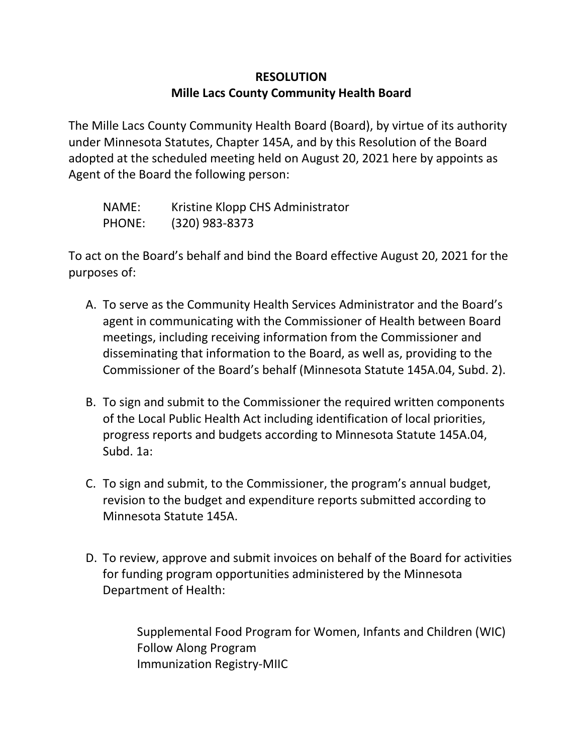## **RESOLUTION Mille Lacs County Community Health Board**

The Mille Lacs County Community Health Board (Board), by virtue of its authority under Minnesota Statutes, Chapter 145A, and by this Resolution of the Board adopted at the scheduled meeting held on August 20, 2021 here by appoints as Agent of the Board the following person:

| NAME:  | Kristine Klopp CHS Administrator |
|--------|----------------------------------|
| PHONE: | (320) 983-8373                   |

To act on the Board's behalf and bind the Board effective August 20, 2021 for the purposes of:

- A. To serve as the Community Health Services Administrator and the Board's agent in communicating with the Commissioner of Health between Board meetings, including receiving information from the Commissioner and disseminating that information to the Board, as well as, providing to the Commissioner of the Board's behalf (Minnesota Statute 145A.04, Subd. 2).
- B. To sign and submit to the Commissioner the required written components of the Local Public Health Act including identification of local priorities, progress reports and budgets according to Minnesota Statute 145A.04, Subd. 1a:
- C. To sign and submit, to the Commissioner, the program's annual budget, revision to the budget and expenditure reports submitted according to Minnesota Statute 145A.
- D. To review, approve and submit invoices on behalf of the Board for activities for funding program opportunities administered by the Minnesota Department of Health:

Supplemental Food Program for Women, Infants and Children (WIC) Follow Along Program Immunization Registry-MIIC